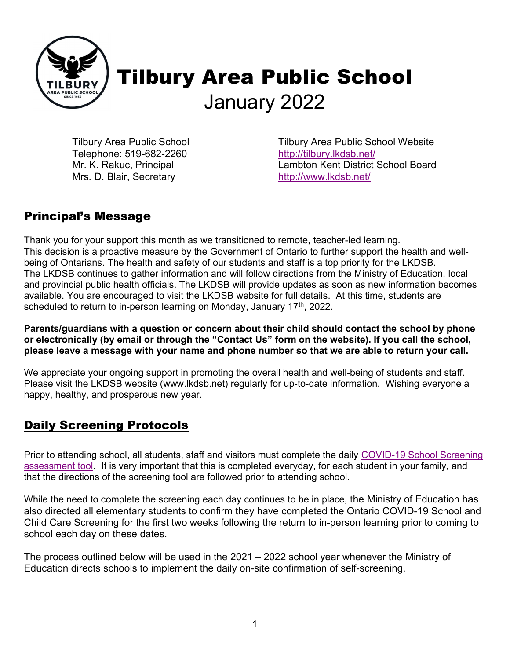

# Tilbury Area Public School January 2022

Tilbury Area Public School Telephone: 519-682-2260 Mr. K. Rakuc, Principal Mrs. D. Blair, Secretary

Tilbury Area Public School Website http://tilbury.lkdsb.net/ Lambton Kent District School Board http://www.lkdsb.net/

## Principal's Message

Thank you for your support this month as we transitioned to remote, teacher-led learning. This decision is a proactive measure by the Government of Ontario to further support the health and wellbeing of Ontarians. The health and safety of our students and staff is a top priority for the LKDSB. The LKDSB continues to gather information and will follow directions from the Ministry of Education, local and provincial public health officials. The LKDSB will provide updates as soon as new information becomes available. You are encouraged to visit the LKDSB website for full details. At this time, students are scheduled to return to in-person learning on Monday, January  $17<sup>th</sup>$ , 2022.

Parents/guardians with a question or concern about their child should contact the school by phone or electronically (by email or through the "Contact Us" form on the website). If you call the school, please leave a message with your name and phone number so that we are able to return your call.

We appreciate your ongoing support in promoting the overall health and well-being of students and staff. Please visit the LKDSB website (www.lkdsb.net) regularly for up-to-date information. Wishing everyone a happy, healthy, and prosperous new year.

## Daily Screening Protocols

Prior to attending school, all students, staff and visitors must complete the daily COVID-19 School Screening assessment tool. It is very important that this is completed everyday, for each student in your family, and that the directions of the screening tool are followed prior to attending school.

While the need to complete the screening each day continues to be in place, the Ministry of Education has also directed all elementary students to confirm they have completed the Ontario COVID-19 School and Child Care Screening for the first two weeks following the return to in-person learning prior to coming to school each day on these dates.

The process outlined below will be used in the 2021 – 2022 school year whenever the Ministry of Education directs schools to implement the daily on-site confirmation of self-screening.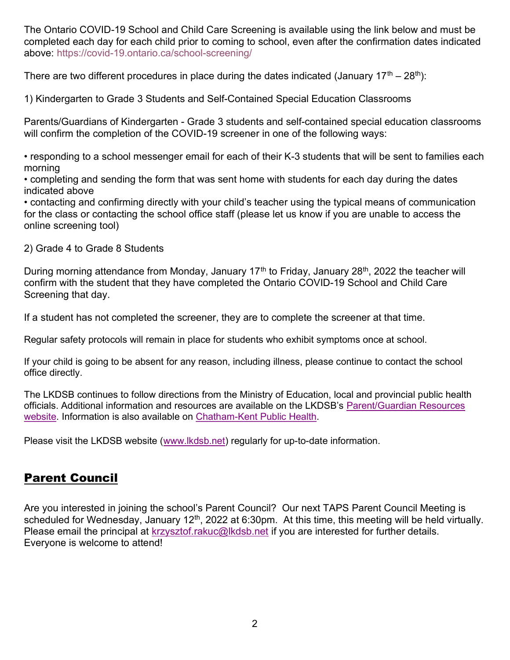The Ontario COVID-19 School and Child Care Screening is available using the link below and must be completed each day for each child prior to coming to school, even after the confirmation dates indicated above: https://covid-19.ontario.ca/school-screening/

There are two different procedures in place during the dates indicated (January  $17<sup>th</sup> - 28<sup>th</sup>$ ):

1) Kindergarten to Grade 3 Students and Self-Contained Special Education Classrooms

Parents/Guardians of Kindergarten - Grade 3 students and self-contained special education classrooms will confirm the completion of the COVID-19 screener in one of the following ways:

• responding to a school messenger email for each of their K-3 students that will be sent to families each morning

• completing and sending the form that was sent home with students for each day during the dates indicated above

• contacting and confirming directly with your child's teacher using the typical means of communication for the class or contacting the school office staff (please let us know if you are unable to access the online screening tool)

2) Grade 4 to Grade 8 Students

During morning attendance from Monday, January 17<sup>th</sup> to Friday, January 28<sup>th</sup>, 2022 the teacher will confirm with the student that they have completed the Ontario COVID-19 School and Child Care Screening that day.

If a student has not completed the screener, they are to complete the screener at that time.

Regular safety protocols will remain in place for students who exhibit symptoms once at school.

If your child is going to be absent for any reason, including illness, please continue to contact the school office directly.

The LKDSB continues to follow directions from the Ministry of Education, local and provincial public health officials. Additional information and resources are available on the LKDSB's Parent/Guardian Resources website. Information is also available on Chatham-Kent Public Health.

Please visit the LKDSB website (www.lkdsb.net) regularly for up-to-date information.

## Parent Council

Are you interested in joining the school's Parent Council? Our next TAPS Parent Council Meeting is scheduled for Wednesday, January 12<sup>th</sup>, 2022 at 6:30pm. At this time, this meeting will be held virtually. Please email the principal at krzysztof.rakuc@lkdsb.net if you are interested for further details. Everyone is welcome to attend!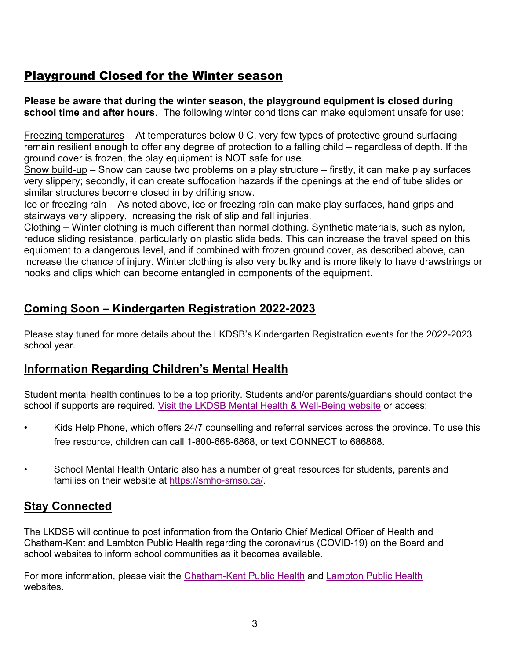#### Playground Closed for the Winter season

Please be aware that during the winter season, the playground equipment is closed during school time and after hours. The following winter conditions can make equipment unsafe for use:

Freezing temperatures – At temperatures below 0 C, very few types of protective ground surfacing remain resilient enough to offer any degree of protection to a falling child – regardless of depth. If the ground cover is frozen, the play equipment is NOT safe for use.

Snow build-up – Snow can cause two problems on a play structure – firstly, it can make play surfaces very slippery; secondly, it can create suffocation hazards if the openings at the end of tube slides or similar structures become closed in by drifting snow.

Ice or freezing rain – As noted above, ice or freezing rain can make play surfaces, hand grips and stairways very slippery, increasing the risk of slip and fall injuries.

Clothing – Winter clothing is much different than normal clothing. Synthetic materials, such as nylon, reduce sliding resistance, particularly on plastic slide beds. This can increase the travel speed on this equipment to a dangerous level, and if combined with frozen ground cover, as described above, can increase the chance of injury. Winter clothing is also very bulky and is more likely to have drawstrings or hooks and clips which can become entangled in components of the equipment.

### Coming Soon – Kindergarten Registration 2022-2023

Please stay tuned for more details about the LKDSB's Kindergarten Registration events for the 2022-2023 school year.

#### Information Regarding Children's Mental Health

Student mental health continues to be a top priority. Students and/or parents/guardians should contact the school if supports are required. Visit the LKDSB Mental Health & Well-Being website or access:

- Kids Help Phone, which offers 24/7 counselling and referral services across the province. To use this free resource, children can call 1-800-668-6868, or text CONNECT to 686868.
- School Mental Health Ontario also has a number of great resources for students, parents and families on their website at https://smho-smso.ca/.

#### Stay Connected

The LKDSB will continue to post information from the Ontario Chief Medical Officer of Health and Chatham-Kent and Lambton Public Health regarding the coronavirus (COVID-19) on the Board and school websites to inform school communities as it becomes available.

For more information, please visit the Chatham-Kent Public Health and Lambton Public Health websites.